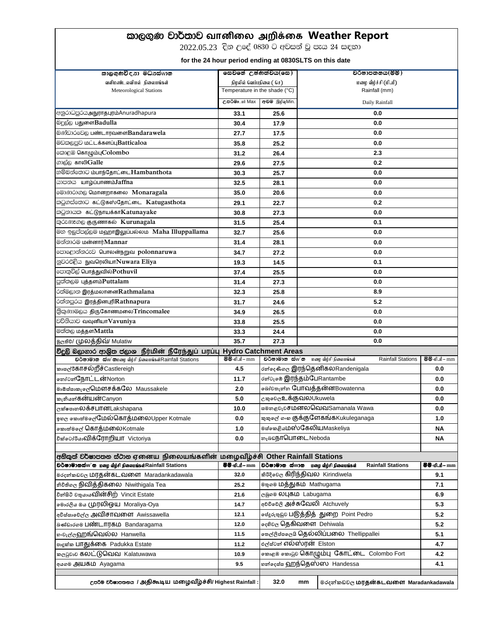## ld,. =K jd¾;dj **வாைிழல அறிக்ழக Weather Report**

2022.05.23 දින උදේ 0830 ට අවසන් වූ පැය 24 සඳහා

 **for the 24 hour period ending at 0830SLTS on this date**

| කාලගුණවිදනා මධ්නස්wාන                                                                                                         | සෙවනේ උෂ්ණත්වය(සෙ)            |                                                     | වර්ෂාපතනය(මිමි)     |                                            |                          |                     |
|-------------------------------------------------------------------------------------------------------------------------------|-------------------------------|-----------------------------------------------------|---------------------|--------------------------------------------|--------------------------|---------------------|
| வளிமண்டலவியல் நிலையங்கள்                                                                                                      | நிழலில் வெப்பநிலை ( செ)       |                                                     | மழை வீழ்ச்சி (மிமீ) |                                            |                          |                     |
| Meteorological Stations                                                                                                       | Temperature in the shade (°C) |                                                     | Rainfall (mm)       |                                            |                          |                     |
|                                                                                                                               | උපරිම <u>ා</u> ui Max         | අවම இழிவுMin.                                       | Daily Rainfall      |                                            |                          |                     |
| අනුරාධපුරයஅநுராதபுரம்Anuradhapura                                                                                             | 33.1                          | 25.6                                                | 0.0                 |                                            |                          |                     |
| ல்ஜ்டு பதுளைBadulla                                                                                                           | 30.4                          | 17.9                                                | 0.0                 |                                            |                          |                     |
| லெல்பிப் பெண்டாரவளைBandarawela                                                                                                | 27.7                          | 17.5                                                | 0.0                 |                                            |                          |                     |
| මඩකලපුව மட்டக்களப்புBatticaloa                                                                                                | 35.8                          | 25.2                                                | 0.0                 |                                            |                          |                     |
| <b>ெ</b> : கொழும்புColombo                                                                                                    | 31.2                          | 26.4                                                | 2.3                 |                                            |                          |                     |
| லார் காலிGalle                                                                                                                | 29.6                          | 27.5                                                | 0.2                 |                                            |                          |                     |
| හම්බන්තොට ம்பாந்தோட்டைHambanthota                                                                                             | 30.3                          | 25.7                                                | 0.0                 |                                            |                          |                     |
| கூற்றை பாழ்ப்பாணம்Jaffna                                                                                                      | 32.5                          | 28.1                                                | 0.0                 |                                            |                          |                     |
| මොණරාගල மொனறாகலை Monaragala                                                                                                   | 35.0                          | 20.6                                                | 0.0                 |                                            |                          |                     |
| කටුගස්තොට கட்டுகஸ்தோட்டை Katugasthota                                                                                         | 29.1                          | 22.7                                                | 0.2                 |                                            |                          |                     |
| <b>ை</b> கட்டுநாயக்காKatunayake                                                                                               | 30.8                          | 27.3                                                | 0.0                 |                                            |                          |                     |
| කුරුණෑගල குருணாகல் Kurunagala                                                                                                 | 31.5                          | 25.4                                                | 0.1                 |                                            |                          |                     |
| මහ ඉලුප්පල්ලම ගஹாஇலுப்பல்லம Maha Illuppallama                                                                                 | 32.7                          | 25.6                                                | 0.0                 |                                            |                          |                     |
| මන්නාරම மன்னார்Mannar                                                                                                         | 31.4                          | 28.1                                                | 0.0                 |                                            |                          |                     |
| පොළොන්නරුව பொலன்நறுவ polonnaruwa                                                                                              | 34.7                          | 27.2                                                | 0.0                 |                                            |                          |                     |
| නුවරඑළිය நුவரெலியா $\overline{\text{N}}$ uwara Eliya                                                                          | 19.3                          | 14.5                                                | 0.1                 |                                            |                          |                     |
| පොතුවිල් பொத்துவில் Pothuvil                                                                                                  | 37.4                          | 25.5                                                | 0.0                 |                                            |                          |                     |
| පුත්තලම புத்தளம்Puttalam                                                                                                      | 31.4                          | 27.3                                                | 0.0                 |                                            |                          |                     |
| ்பீමලාන இரத்மலானைRathmalana                                                                                                   | 32.3                          | 25.8                                                | 8.9                 |                                            |                          |                     |
| ்லீல் இரத்தினபுரிRathnapura                                                                                                   | 31.7                          | 24.6                                                | 5.2                 |                                            |                          |                     |
| இ்று குழு திருகோண்மலை Trincomalee                                                                                             | 34.9                          | 26.5                                                | 0.0                 |                                            |                          |                     |
| <b>වව්නියාව வவுனியாVavuniya</b>                                                                                               | 33.8                          | 25.5                                                | 0.0                 |                                            |                          |                     |
| මත්තල மத்தளMattla                                                                                                             | 33.3                          | 24.4                                                | 0.0                 |                                            |                          |                     |
| த <sub>்</sub> கூ (முலத்திவ்/ Mulatiw                                                                                         | 35.7                          | 27.3<br>0.0                                         |                     |                                            |                          |                     |
| විදුලි ඩලාගාර ආශිත ජලාශ நீர்மின் நீரேந்துப் பரப்பு                                                                            | <b>Hydro Catchment Areas</b>  |                                                     |                     |                                            |                          |                     |
| <b>பல்கை பில் வை</b> வீழ்சி நிலையங்கள் Rainfall Stations                                                                      | @@-ıflif - mm                 | වර්ෂාමාන ස්w`න                                      |                     | மழை வீழ்சி நிலையங்கள்                      | <b>Rainfall Stations</b> | @@-ınr- mm          |
| කාසල්රීසි∏சல்றீச்Castlereigh                                                                                                  | 4.5                           | ෮න්දෙණිගල இரந்தெனிகலRandenigala                     |                     |                                            |                          | 0.0                 |
| ைச்சிரோட்டன்Norton                                                                                                            | 11.7                          | dன் ஜெர்தம்பேRantambe                               |                     |                                            |                          | 0.0                 |
| මාඕස්සාකැලේ பெளசக்கலே Maussakele                                                                                              | 2.0                           | கிச் உர்வை போவத்தன்னBowatenna                       |                     |                                            |                          | 0.0                 |
| <sub>කැ</sub> නියන් <b>கன்யன்</b> Canyon                                                                                      | 5.0                           | <sub>උකුවෙල</sub> உக்குவலUkuwela                    |                     |                                            |                          | 0.0                 |
| ලක්ෂපාන <b>லக்ச⊔ான</b> Lakshapana                                                                                             | 10.0                          | <b>¤®</b> නළවැවசDm லெ வெவ Samanala Wawa             |                     |                                            |                          | 0.0                 |
| ஓ¤ල ஊை்க்@ேயேல்கொத்மலைUpper Kotmale                                                                                           | 0.0                           | கை வை குக்குளேகங்கKukuleganaga                      |                     |                                            |                          | 1.0                 |
| ஊைவ் <b>கொத்மலை</b> Kotmale                                                                                                   | 1.0                           | ෧෪෧෨෫෬෦෦෨෮෬෨෦෦෦෦෦෪෪෫෦෬                              |                     |                                            |                          | <b>NA</b>           |
| <sub>වික්©</sub> ∂ச்கேவிக்ரோறியா Victoriya                                                                                    | 0.0                           | <sub>නෑ</sub> வநூபொடைNeboda                         |                     |                                            |                          | ΝA                  |
|                                                                                                                               |                               |                                                     |                     |                                            |                          |                     |
| අනිකුත් වර්ෂාපතන ස්ථාන ஏඟைய நிலையங்களின் மழைவிழ்ச்சி Other Rainfall Stations                                                  |                               |                                                     |                     |                                            |                          |                     |
| <b>ூ் அலை</b> மறை வீழ்சி நிலையங்கள் Rainfall Stations                                                                         | <b>88-0</b> – mm              |                                                     |                     | <b>ூகாலை வையாக மலை வார்வியில் வா</b> ர்கள் | <b>Rainfall Stations</b> | <b>88-11.11-</b> mm |
| ⊚ഠ෫න්කඩවල <b>ഥ⊓தன்கடவளை</b> Maradankadawala                                                                                   | 32.0                          | ଈ8෫෧෧෫ கிரிந்திவல Kirindiwela                       |                     |                                            |                          | 9.1                 |
| නිවිතිගල <b>நிவித்திகலை</b> Niwithigala Tea                                                                                   | 25.2                          | ® <sub>®</sub> ஓ® <b>மத்துகம</b> ் Mathugama        |                     |                                            |                          | 7.1                 |
| වින්සිටි වතුයාය <b>ඛාිග්சிற்</b> Vincit Estate                                                                                | 21.6                          | ලබු ை லபுகம் Labugama                               |                     |                                            |                          | 6.9                 |
| මෞරලිය ඔය முரலிஒய Moraliya-Oya                                                                                                | 14.7                          | අවවිමෙලි அச்சுவேலி Atchuvely                        |                     |                                            |                          | 5.3                 |
| අවිස්සාවෙල්ල அவிசாவளை Awissawella                                                                                             | 12.1                          | ச்சீர் அத்தித்தித்தின்ற Point Pedro                 |                     |                                            |                          | 5.2                 |
| ञெ∕ைலை ⊔ண்டாரகம Bandaragama                                                                                                   | 12.0                          | දෙහිවල தெகிவளை Dehiwala                             |                     |                                            |                          | 5.2                 |
| စ•වැල්ල <b>ஹங்வெல்ல</b> Hanwella                                                                                              | 11.5                          | စာဇ(ဇိုဒီဗၜင္မအ မြန္မွလဲလ်္ပါபဲ ပါတယ္ Thellippallei |                     |                                            |                          | 5.1                 |
| පා <sub>දු</sub> ක්ක <b>பாதுக்கை</b> Padukka Estate                                                                           | 11.2                          | உ்சீசின் எல்ஸ்ரன் Elston                            |                     |                                            |                          | 4.7                 |
| <sub>തලවුවා</sub> ව <b>கலட்டுவெவ</b> Kalatuwawa                                                                               | 10.9                          | க்கையில் கொடும்பு கோட்டை Colombo Fort               |                     |                                            |                          | 4.2                 |
| අයගම அயகம் Ayagama                                                                                                            | 9.5                           | <b>ண்ண்ண் ஹந்தெஸ்ஸ Handessa</b>                     |                     |                                            |                          | 4.1                 |
|                                                                                                                               |                               |                                                     |                     |                                            |                          |                     |
| cපරිම වර්ෂාපතනය / அதிகூடிய மழைவீழ்ச்சி/ Highest Rainfall :<br>32.0<br>mm<br>මරදන්කඩවල <mark>மரதன்கடவளை Maradankadawala</mark> |                               |                                                     |                     |                                            |                          |                     |